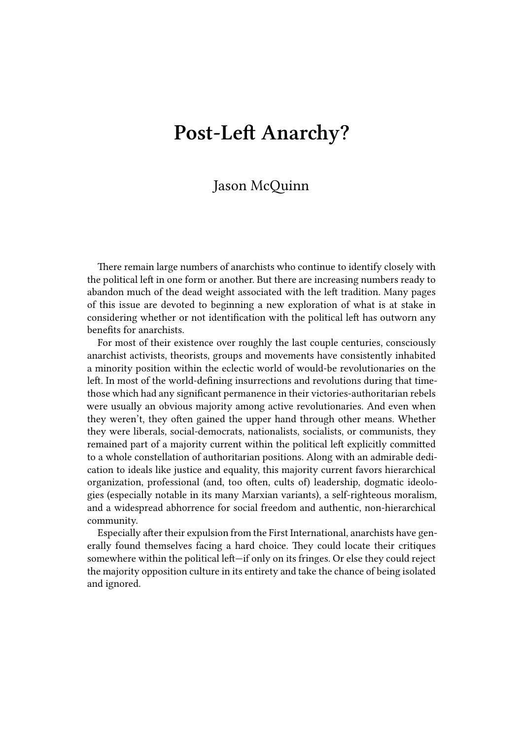## **Post-Left Anarchy?**

## Jason McQuinn

There remain large numbers of anarchists who continue to identify closely with the political left in one form or another. But there are increasing numbers ready to abandon much of the dead weight associated with the left tradition. Many pages of this issue are devoted to beginning a new exploration of what is at stake in considering whether or not identification with the political left has outworn any benefits for anarchists.

For most of their existence over roughly the last couple centuries, consciously anarchist activists, theorists, groups and movements have consistently inhabited a minority position within the eclectic world of would-be revolutionaries on the left. In most of the world-defining insurrections and revolutions during that timethose which had any significant permanence in their victories-authoritarian rebels were usually an obvious majority among active revolutionaries. And even when they weren't, they often gained the upper hand through other means. Whether they were liberals, social-democrats, nationalists, socialists, or communists, they remained part of a majority current within the political left explicitly committed to a whole constellation of authoritarian positions. Along with an admirable dedication to ideals like justice and equality, this majority current favors hierarchical organization, professional (and, too often, cults of) leadership, dogmatic ideologies (especially notable in its many Marxian variants), a self-righteous moralism, and a widespread abhorrence for social freedom and authentic, non-hierarchical community.

Especially after their expulsion from the First International, anarchists have generally found themselves facing a hard choice. They could locate their critiques somewhere within the political left—if only on its fringes. Or else they could reject the majority opposition culture in its entirety and take the chance of being isolated and ignored.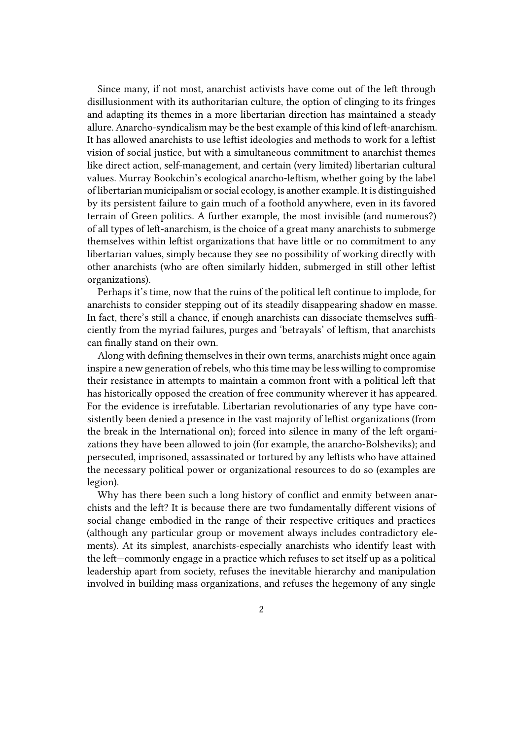Since many, if not most, anarchist activists have come out of the left through disillusionment with its authoritarian culture, the option of clinging to its fringes and adapting its themes in a more libertarian direction has maintained a steady allure. Anarcho-syndicalism may be the best example of this kind of left-anarchism. It has allowed anarchists to use leftist ideologies and methods to work for a leftist vision of social justice, but with a simultaneous commitment to anarchist themes like direct action, self-management, and certain (very limited) libertarian cultural values. Murray Bookchin's ecological anarcho-leftism, whether going by the label of libertarian municipalism or social ecology, is another example. It is distinguished by its persistent failure to gain much of a foothold anywhere, even in its favored terrain of Green politics. A further example, the most invisible (and numerous?) of all types of left-anarchism, is the choice of a great many anarchists to submerge themselves within leftist organizations that have little or no commitment to any libertarian values, simply because they see no possibility of working directly with other anarchists (who are often similarly hidden, submerged in still other leftist organizations).

Perhaps it's time, now that the ruins of the political left continue to implode, for anarchists to consider stepping out of its steadily disappearing shadow en masse. In fact, there's still a chance, if enough anarchists can dissociate themselves sufficiently from the myriad failures, purges and 'betrayals' of leftism, that anarchists can finally stand on their own.

Along with defining themselves in their own terms, anarchists might once again inspire a new generation of rebels, who this time may be less willing to compromise their resistance in attempts to maintain a common front with a political left that has historically opposed the creation of free community wherever it has appeared. For the evidence is irrefutable. Libertarian revolutionaries of any type have consistently been denied a presence in the vast majority of leftist organizations (from the break in the International on); forced into silence in many of the left organizations they have been allowed to join (for example, the anarcho-Bolsheviks); and persecuted, imprisoned, assassinated or tortured by any leftists who have attained the necessary political power or organizational resources to do so (examples are legion).

Why has there been such a long history of conflict and enmity between anarchists and the left? It is because there are two fundamentally different visions of social change embodied in the range of their respective critiques and practices (although any particular group or movement always includes contradictory elements). At its simplest, anarchists-especially anarchists who identify least with the left—commonly engage in a practice which refuses to set itself up as a political leadership apart from society, refuses the inevitable hierarchy and manipulation involved in building mass organizations, and refuses the hegemony of any single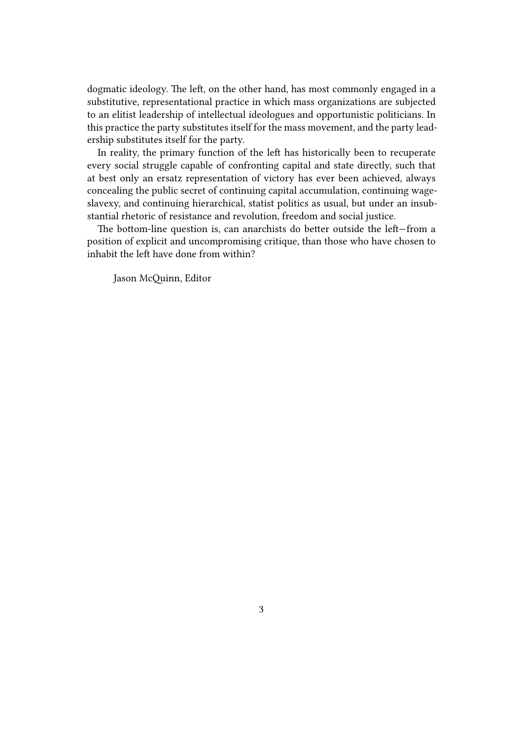dogmatic ideology. The left, on the other hand, has most commonly engaged in a substitutive, representational practice in which mass organizations are subjected to an elitist leadership of intellectual ideologues and opportunistic politicians. In this practice the party substitutes itself for the mass movement, and the party leadership substitutes itself for the party.

In reality, the primary function of the left has historically been to recuperate every social struggle capable of confronting capital and state directly, such that at best only an ersatz representation of victory has ever been achieved, always concealing the public secret of continuing capital accumulation, continuing wageslavexy, and continuing hierarchical, statist politics as usual, but under an insubstantial rhetoric of resistance and revolution, freedom and social justice.

The bottom-line question is, can anarchists do better outside the left—from a position of explicit and uncompromising critique, than those who have chosen to inhabit the left have done from within?

Jason McQuinn, Editor